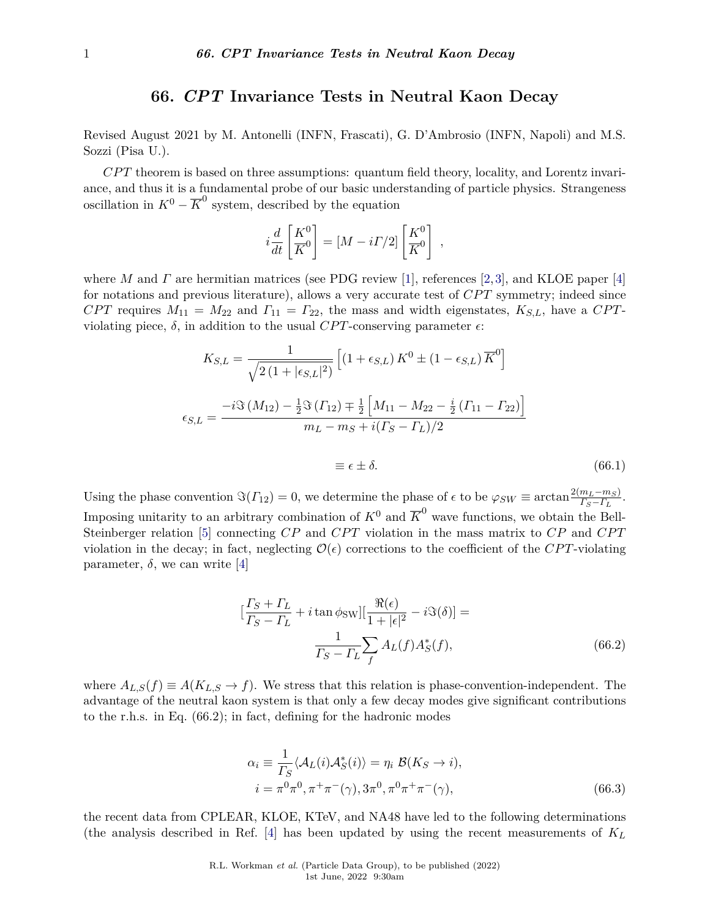## **66.** *CPT* **Invariance Tests in Neutral Kaon Decay**

Revised August 2021 by M. Antonelli (INFN, Frascati), G. D'Ambrosio (INFN, Napoli) and M.S. Sozzi (Pisa U.).

*CP T* theorem is based on three assumptions: quantum field theory, locality, and Lorentz invariance, and thus it is a fundamental probe of our basic understanding of particle physics. Strangeness oscillation in  $K^0 - \overline{K}^0$  system, described by the equation

$$
i\frac{d}{dt}\left[\frac{K^0}{K^0}\right] = [M - i\Gamma/2] \left[\frac{K^0}{K^0}\right] ,
$$

where *M* and *Γ* are hermitian matrices (see PDG review [\[1\]](#page-3-0), references [\[2,](#page-3-1)[3\]](#page-3-2), and KLOE paper [\[4\]](#page-3-3) for notations and previous literature), allows a very accurate test of *CPT* symmetry; indeed since *CPT* requires  $M_{11} = M_{22}$  and  $\Gamma_{11} = \Gamma_{22}$ , the mass and width eigenstates,  $K_{S,L}$ , have a *CPT*violating piece,  $\delta$ , in addition to the usual *CPT*-conserving parameter  $\epsilon$ :

$$
K_{S,L} = \frac{1}{\sqrt{2(1+|\epsilon_{S,L}|^2)}} \left[ (1+\epsilon_{S,L}) K^0 \pm (1-\epsilon_{S,L}) \overline{K}^0 \right]
$$

$$
\epsilon_{S,L} = \frac{-i \Im(M_{12}) - \frac{1}{2} \Im(\Gamma_{12}) \mp \frac{1}{2} \left[ M_{11} - M_{22} - \frac{i}{2} (\Gamma_{11} - \Gamma_{22}) \right]}{m_L - m_S + i(\Gamma_S - \Gamma_L)/2}
$$

$$
\equiv \epsilon \pm \delta. \tag{66.1}
$$

Using the phase convention  $\Im(\Gamma_{12}) = 0$ , we determine the phase of  $\epsilon$  to be  $\varphi_{SW} \equiv \arctan \frac{2(m_L - m_S)}{\Gamma_S - \Gamma_L}$ . Imposing unitarity to an arbitrary combination of  $K^0$  and  $\overline{K}^0$  wave functions, we obtain the Bell-Steinberger relation [\[5\]](#page-3-4) connecting *CP* and *CPT* violation in the mass matrix to *CP* and *CPT* violation in the decay; in fact, neglecting  $\mathcal{O}(\epsilon)$  corrections to the coefficient of the *CPT*-violating parameter,  $\delta$ , we can write [\[4\]](#page-3-3)

$$
\left[\frac{\Gamma_S + \Gamma_L}{\Gamma_S - \Gamma_L} + i \tan \phi_{\text{SW}}\right] \left[\frac{\Re(\epsilon)}{1 + |\epsilon|^2} - i \Im(\delta)\right] =
$$
  

$$
\frac{1}{\Gamma_S - \Gamma_L} \sum_f A_L(f) A_S^*(f), \tag{66.2}
$$

where  $A_{L,S}(f) \equiv A(K_{L,S} \to f)$ . We stress that this relation is phase-convention-independent. The advantage of the neutral kaon system is that only a few decay modes give significant contributions to the r.h.s. in Eq. (66.2); in fact, defining for the hadronic modes

$$
\alpha_i \equiv \frac{1}{\Gamma_S} \langle A_L(i) A_S^*(i) \rangle = \eta_i \ \mathcal{B}(K_S \to i),
$$
  
\n
$$
i = \pi^0 \pi^0, \pi^+ \pi^-(\gamma), 3\pi^0, \pi^0 \pi^+ \pi^-(\gamma),
$$
 (66.3)

the recent data from CPLEAR, KLOE, KTeV, and NA48 have led to the following determinations (the analysis described in Ref. [\[4\]](#page-3-3) has been updated by using the recent measurements of *K<sup>L</sup>*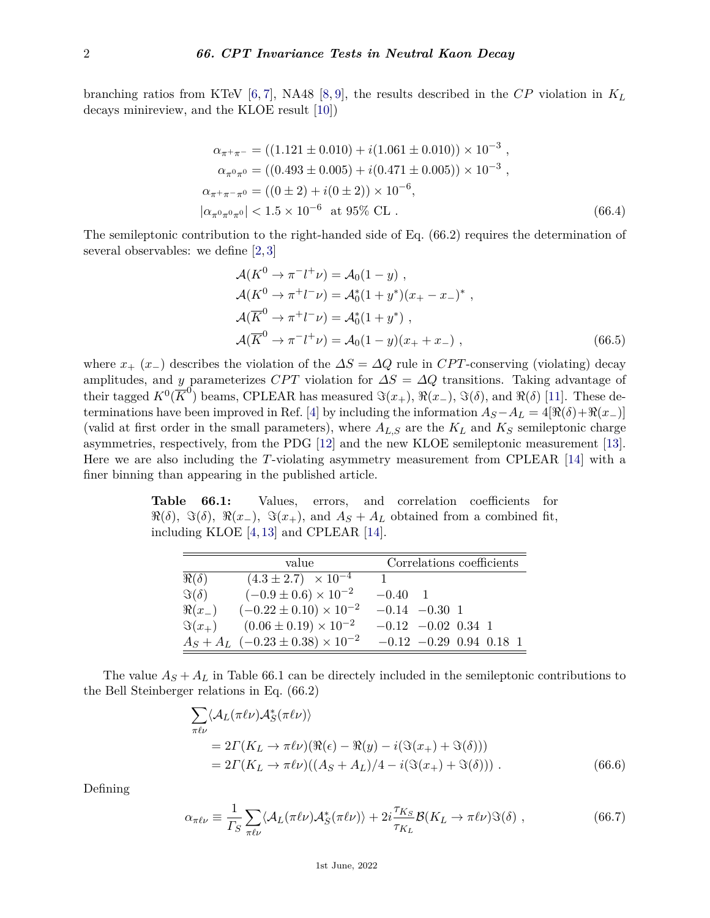branching ratios from KTeV [\[6,](#page-3-5) [7\]](#page-3-6), NA48 [\[8,](#page-4-0) [9\]](#page-4-1), the results described in the *CP* violation in *K<sup>L</sup>* decays minireview, and the KLOE result [\[10\]](#page-4-2))

$$
\alpha_{\pi^+\pi^-} = ((1.121 \pm 0.010) + i(1.061 \pm 0.010)) \times 10^{-3} ,
$$
  
\n
$$
\alpha_{\pi^0\pi^0} = ((0.493 \pm 0.005) + i(0.471 \pm 0.005)) \times 10^{-3} ,
$$
  
\n
$$
\alpha_{\pi^+\pi^-\pi^0} = ((0 \pm 2) + i(0 \pm 2)) \times 10^{-6} ,
$$
  
\n
$$
|\alpha_{\pi^0\pi^0\pi^0}| < 1.5 \times 10^{-6} \text{ at } 95\% \text{ CL} .
$$
 (66.4)

The semileptonic contribution to the right-handed side of Eq. (66.2) requires the determination of several observables: we define [\[2,](#page-3-1) [3\]](#page-3-2)

$$
\mathcal{A}(K^0 \to \pi^- l^+ \nu) = \mathcal{A}_0 (1 - y) ,
$$
  
\n
$$
\mathcal{A}(K^0 \to \pi^+ l^- \nu) = \mathcal{A}_0^*(1 + y^*)(x_+ - x_-)^*,
$$
  
\n
$$
\mathcal{A}(\overline{K}^0 \to \pi^+ l^- \nu) = \mathcal{A}_0^*(1 + y^*) ,
$$
  
\n
$$
\mathcal{A}(\overline{K}^0 \to \pi^- l^+ \nu) = \mathcal{A}_0 (1 - y)(x_+ + x_-) ,
$$
\n(66.5)

where  $x_+(x_-)$  describes the violation of the  $\Delta S = \Delta Q$  rule in *CPT*-conserving (violating) decay amplitudes, and *y* parameterizes *CPT* violation for  $\Delta S = \Delta Q$  transitions. Taking advantage of their tagged  $K^0(\overline{K}^0)$  beams, CPLEAR has measured  $\Im(x_+), \Re(x_-), \Im(\delta)$ , and  $\Re(\delta)$  [\[11\]](#page-4-3). These de-terminations have been improved in Ref. [\[4\]](#page-3-3) by including the information  $A_S - A_L = 4[\Re(\delta) + \Re(x_-\)]$ (valid at first order in the small parameters), where  $A_{L,S}$  are the  $K_L$  and  $K_S$  semileptonic charge asymmetries, respectively, from the PDG [\[12\]](#page-4-4) and the new KLOE semileptonic measurement [\[13\]](#page-4-5). Here we are also including the *T*-violating asymmetry measurement from CPLEAR [\[14\]](#page-4-6) with a finer binning than appearing in the published article.

**Table 66.1:** Values, errors, and correlation coefficients for  $\Re(\delta)$ ,  $\Im(\delta)$ ,  $\Re(x_-, \Im(x_+))$ , and  $A_S + A_L$  obtained from a combined fit, including KLOE [\[4,](#page-3-3) [13\]](#page-4-5) and CPLEAR [\[14\]](#page-4-6).

|               | value                                         | Correlations coefficients   |  |  |
|---------------|-----------------------------------------------|-----------------------------|--|--|
| $\Re(\delta)$ | $(4.3 \pm 2.7) \times 10^{-4}$                |                             |  |  |
| $\Im(\delta)$ | $(-0.9 \pm 0.6) \times 10^{-2}$               | $-0.40 \quad 1$             |  |  |
| $\Re(x_-)$    | $(-0.22 \pm 0.10) \times 10^{-2}$             | $-0.14 - 0.30 1$            |  |  |
| $\Im(x_+)$    | $(0.06 \pm 0.19) \times 10^{-2}$              | $-0.12$ $-0.02$ 0.34 1      |  |  |
|               | $A_S + A_L$ (-0.23 ± 0.38) × 10 <sup>-2</sup> | $-0.12$ $-0.29$ 0.94 0.18 1 |  |  |

The value  $A<sub>S</sub> + A<sub>L</sub>$  in Table 66.1 can be directely included in the semileptonic contributions to the Bell Steinberger relations in Eq. (66.2)

$$
\sum_{\pi\ell\nu} \langle A_L(\pi\ell\nu) A_S^*(\pi\ell\nu) \rangle
$$
  
= 2\Gamma(K\_L \to \pi\ell\nu)(\Re(\epsilon) - \Re(y) - i(\Im(x\_+) + \Im(\delta)))  
= 2\Gamma(K\_L \to \pi\ell\nu)((A\_S + A\_L)/4 - i(\Im(x\_+) + \Im(\delta))) . (66.6)

Defining

$$
\alpha_{\pi\ell\nu} \equiv \frac{1}{\Gamma_S} \sum_{\pi\ell\nu} \langle \mathcal{A}_L(\pi\ell\nu) \mathcal{A}_S^*(\pi\ell\nu) \rangle + 2i \frac{\tau_{K_S}}{\tau_{K_L}} \mathcal{B}(K_L \to \pi\ell\nu) \Im(\delta) , \qquad (66.7)
$$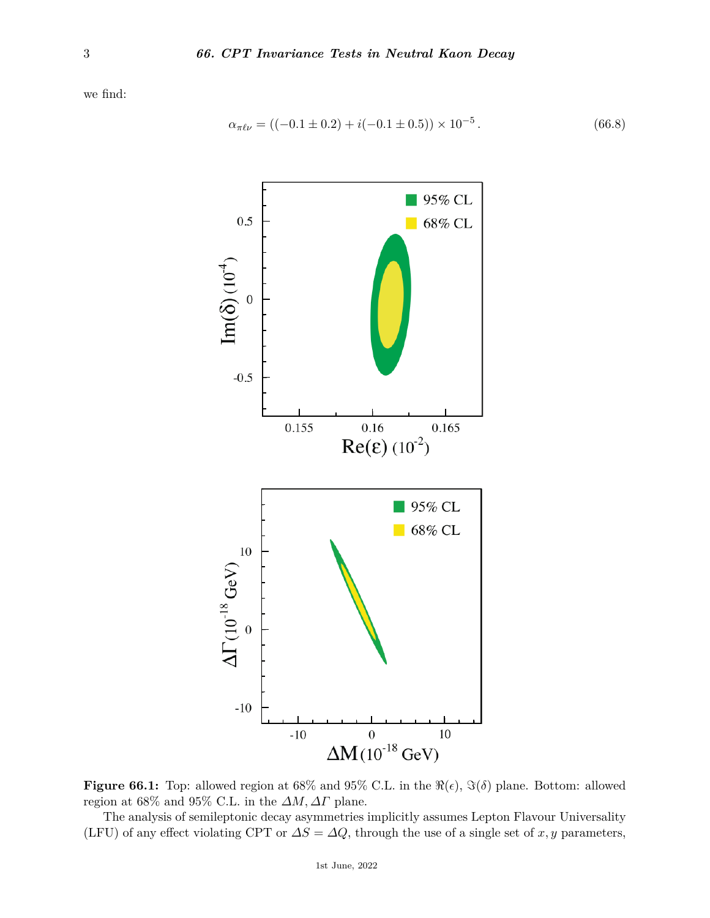we find:

$$
\alpha_{\pi\ell\nu} = ((-0.1 \pm 0.2) + i(-0.1 \pm 0.5)) \times 10^{-5}.
$$
\n(66.8)



**Figure 66.1:** Top: allowed region at 68% and 95% C.L. in the  $\Re(\epsilon)$ ,  $\Im(\delta)$  plane. Bottom: allowed region at 68% and 95% C.L. in the *∆M, ∆Γ* plane.

The analysis of semileptonic decay asymmetries implicitly assumes Lepton Flavour Universality (LFU) of any effect violating CPT or  $\Delta S = \Delta Q$ , through the use of a single set of *x*, *y* parameters,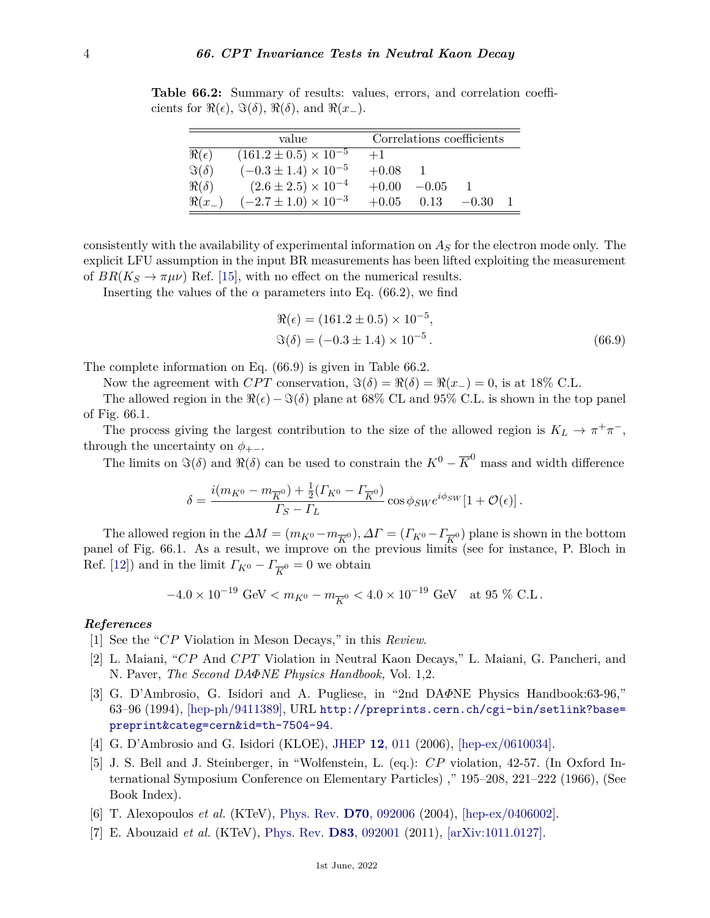**Table 66.2:** Summary of results: values, errors, and correlation coefficients for  $\Re(\epsilon)$ ,  $\Im(\delta)$ ,  $\Re(\delta)$ , and  $\Re(x_-\)$ .

|                 | value                            | Correlations coefficients |         |         |  |
|-----------------|----------------------------------|---------------------------|---------|---------|--|
| $\Re(\epsilon)$ | $(161.2 \pm 0.5) \times 10^{-5}$ | $+1$                      |         |         |  |
| $\Im(\delta)$   | $(-0.3 \pm 1.4) \times 10^{-5}$  | $+0.08$                   |         |         |  |
| $\Re(\delta)$   | $(2.6 \pm 2.5) \times 10^{-4}$   | $+0.00$                   | $-0.05$ |         |  |
| $\Re(x_+)$      | $(-2.7 \pm 1.0) \times 10^{-3}$  | $+0.05$                   | 0.13    | $-0.30$ |  |

consistently with the availability of experimental information on *A<sup>S</sup>* for the electron mode only. The explicit LFU assumption in the input BR measurements has been lifted exploiting the measurement of  $BR(K_S \to \pi \mu \nu)$  Ref. [\[15\]](#page-4-7), with no effect on the numerical results.

Inserting the values of the  $\alpha$  parameters into Eq. (66.2), we find

$$
\Re(\epsilon) = (161.2 \pm 0.5) \times 10^{-5}, \n\Im(\delta) = (-0.3 \pm 1.4) \times 10^{-5}.
$$
\n(66.9)

The complete information on Eq. (66.9) is given in Table 66.2.

Now the agreement with *CPT* conservation,  $\Im(\delta) = \Re(\delta) = \Re(x_+) = 0$ , is at 18% C.L.

The allowed region in the  $\Re(\epsilon) - \Im(\delta)$  plane at 68% CL and 95% C.L. is shown in the top panel of Fig. 66.1.

The process giving the largest contribution to the size of the allowed region is  $K_L \to \pi^+\pi^-$ , through the uncertainty on  $\phi_{+-}$ .

The limits on  $\Im(\delta)$  and  $\Re(\delta)$  can be used to constrain the  $K^0 - \overline{K}^0$  mass and width difference

$$
\delta = \frac{i(m_{K^0} - m_{\overline{K}^0}) + \frac{1}{2}(\Gamma_{K^0} - \Gamma_{\overline{K}^0})}{\Gamma_S - \Gamma_L} \cos \phi_{SW} e^{i\phi_{SW}} [1 + \mathcal{O}(\epsilon)].
$$

The allowed region in the  $\Delta M = (m_{K^0} - m_{\overline{K}^0}), \Delta T = (T_{K^0} - T_{\overline{K}^0})$  plane is shown in the bottom panel of Fig. 66.1. As a result, we improve on the previous limits (see for instance, P. Bloch in Ref. [\[12\]](#page-4-4)) and in the limit  $\Gamma_{K^0} - \Gamma_{\overline{K}^0} = 0$  we obtain

$$
-4.0 \times 10^{-19} \text{ GeV} < m_{K^0} - m_{\overline{K}^0} < 4.0 \times 10^{-19} \text{ GeV} \quad \text{at } 95 \text{ % C.L.}
$$

## *References*

- <span id="page-3-0"></span>[1] See the "*CP* Violation in Meson Decays," in this *Review*.
- <span id="page-3-1"></span>[2] L. Maiani, "*CP* And *CP T* Violation in Neutral Kaon Decays," L. Maiani, G. Pancheri, and N. Paver, *The Second DAΦNE Physics Handbook,* Vol. 1,2.
- <span id="page-3-2"></span>[3] G. D'Ambrosio, G. Isidori and A. Pugliese, in "2nd DA*Φ*NE Physics Handbook:63-96," 63–96 (1994), [\[hep-ph/9411389\],](https://arxiv.org/abs/hep-ph/9411389) URL [http://preprints.cern.ch/cgi-bin/setlink?base=](http://preprints.cern.ch/cgi-bin/setlink?base=preprint&categ=cern&id=th-7504-94) [preprint&categ=cern&id=th-7504-94](http://preprints.cern.ch/cgi-bin/setlink?base=preprint&categ=cern&id=th-7504-94).
- <span id="page-3-3"></span>[4] G. D'Ambrosio and G. Isidori (KLOE), [JHEP](http://doi.org/10.1088/1126-6708/2006/12/011) **12**[, 011](http://doi.org/10.1088/1126-6708/2006/12/011) (2006), [\[hep-ex/0610034\].](https://arxiv.org/abs/hep-ex/0610034)
- <span id="page-3-4"></span>[5] J. S. Bell and J. Steinberger, in "Wolfenstein, L. (eq.): *CP* violation, 42-57. (In Oxford International Symposium Conference on Elementary Particles) ," 195–208, 221–222 (1966), (See Book Index).
- <span id="page-3-5"></span>[6] T. Alexopoulos *et al.* (KTeV), [Phys. Rev.](http://doi.org/10.1103/PhysRevD.70.092006) **D70**[, 092006](http://doi.org/10.1103/PhysRevD.70.092006) (2004), [\[hep-ex/0406002\].](https://arxiv.org/abs/hep-ex/0406002)
- <span id="page-3-6"></span>[7] E. Abouzaid *et al.* (KTeV), [Phys. Rev.](http://doi.org/10.1103/PhysRevD.83.092001) **D83**[, 092001](http://doi.org/10.1103/PhysRevD.83.092001) (2011), [\[arXiv:1011.0127\].](https://arxiv.org/abs/1011.0127)